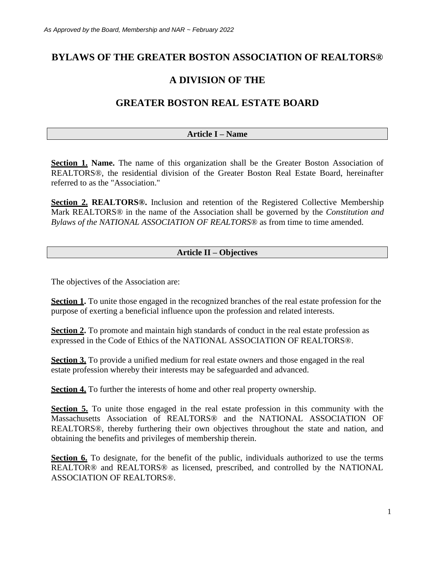## **BYLAWS OF THE GREATER BOSTON ASSOCIATION OF REALTORS®**

# **A DIVISION OF THE**

# **GREATER BOSTON REAL ESTATE BOARD**

### **Article I – Name**

**Section 1. Name.** The name of this organization shall be the Greater Boston Association of REALTORS®, the residential division of the Greater Boston Real Estate Board, hereinafter referred to as the "Association."

**Section 2. REALTORS®.** Inclusion and retention of the Registered Collective Membership Mark REALTORS® in the name of the Association shall be governed by the *Constitution and Bylaws of the NATIONAL ASSOCIATION OF REALTORS®* as from time to time amended.

## **Article II – Objectives**

The objectives of the Association are:

**Section 1.** To unite those engaged in the recognized branches of the real estate profession for the purpose of exerting a beneficial influence upon the profession and related interests.

**Section 2.** To promote and maintain high standards of conduct in the real estate profession as expressed in the Code of Ethics of the NATIONAL ASSOCIATION OF REALTORS®.

**Section 3.** To provide a unified medium for real estate owners and those engaged in the real estate profession whereby their interests may be safeguarded and advanced.

**Section 4.** To further the interests of home and other real property ownership.

**Section 5.** To unite those engaged in the real estate profession in this community with the Massachusetts Association of REALTORS® and the NATIONAL ASSOCIATION OF REALTORS®, thereby furthering their own objectives throughout the state and nation, and obtaining the benefits and privileges of membership therein.

**Section 6.** To designate, for the benefit of the public, individuals authorized to use the terms REALTOR® and REALTORS® as licensed, prescribed, and controlled by the NATIONAL ASSOCIATION OF REALTORS®.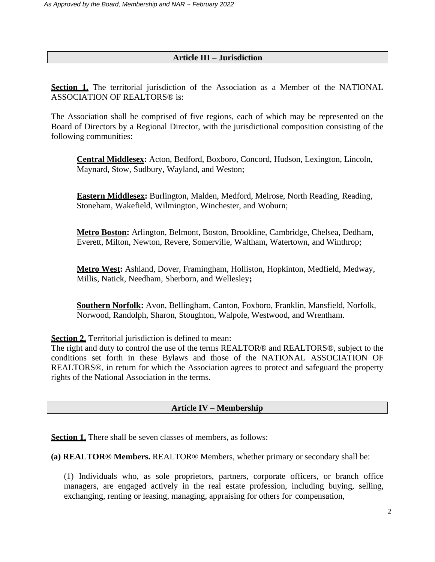## **Article III – Jurisdiction**

Section 1. The territorial jurisdiction of the Association as a Member of the NATIONAL ASSOCIATION OF REALTORS® is:

The Association shall be comprised of five regions, each of which may be represented on the Board of Directors by a Regional Director, with the jurisdictional composition consisting of the following communities:

**Central Middlesex:** Acton, Bedford, Boxboro, Concord, Hudson, Lexington, Lincoln, Maynard, Stow, Sudbury, Wayland, and Weston;

**Eastern Middlesex:** Burlington, Malden, Medford, Melrose, North Reading, Reading, Stoneham, Wakefield, Wilmington, Winchester, and Woburn;

**Metro Boston:** Arlington, Belmont, Boston, Brookline, Cambridge, Chelsea, Dedham, Everett, Milton, Newton, Revere, Somerville, Waltham, Watertown, and Winthrop;

**Metro West:** Ashland, Dover, Framingham, Holliston, Hopkinton, Medfield, Medway, Millis, Natick, Needham, Sherborn, and Wellesley**;**

**Southern Norfolk:** Avon, Bellingham, Canton, Foxboro, Franklin, Mansfield, Norfolk, Norwood, Randolph, Sharon, Stoughton, Walpole, Westwood, and Wrentham.

**Section 2.** Territorial jurisdiction is defined to mean:

The right and duty to control the use of the terms REALTOR® and REALTORS®, subject to the conditions set forth in these Bylaws and those of the NATIONAL ASSOCIATION OF REALTORS®, in return for which the Association agrees to protect and safeguard the property rights of the National Association in the terms.

## **Article IV – Membership**

**Section 1.** There shall be seven classes of members, as follows:

**(a) REALTOR® Members.** REALTOR® Members, whether primary or secondary shall be:

(1) Individuals who, as sole proprietors, partners, corporate officers, or branch office managers, are engaged actively in the real estate profession, including buying, selling, exchanging, renting or leasing, managing, appraising for others for compensation,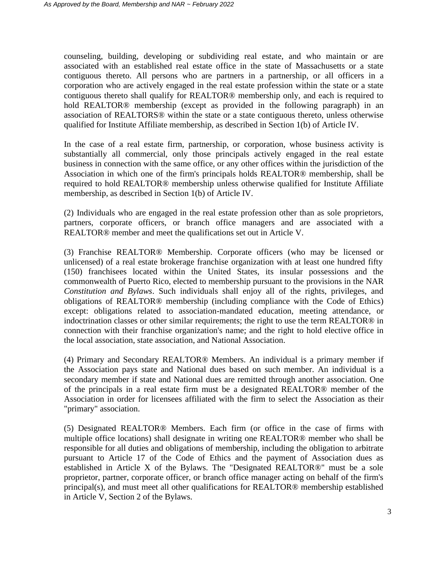counseling, building, developing or subdividing real estate, and who maintain or are associated with an established real estate office in the state of Massachusetts or a state contiguous thereto. All persons who are partners in a partnership, or all officers in a corporation who are actively engaged in the real estate profession within the state or a state contiguous thereto shall qualify for REALTOR® membership only, and each is required to hold REALTOR® membership (except as provided in the following paragraph) in an association of REALTORS® within the state or a state contiguous thereto, unless otherwise qualified for Institute Affiliate membership, as described in Section 1(b) of Article IV.

In the case of a real estate firm, partnership, or corporation, whose business activity is substantially all commercial, only those principals actively engaged in the real estate business in connection with the same office, or any other offices within the jurisdiction of the Association in which one of the firm's principals holds REALTOR® membership, shall be required to hold REALTOR® membership unless otherwise qualified for Institute Affiliate membership, as described in Section 1(b) of Article IV.

(2) Individuals who are engaged in the real estate profession other than as sole proprietors, partners, corporate officers, or branch office managers and are associated with a REALTOR® member and meet the qualifications set out in Article V.

(3) Franchise REALTOR® Membership. Corporate officers (who may be licensed or unlicensed) of a real estate brokerage franchise organization with at least one hundred fifty (150) franchisees located within the United States, its insular possessions and the commonwealth of Puerto Rico, elected to membership pursuant to the provisions in the NAR *Constitution and Bylaws*. Such individuals shall enjoy all of the rights, privileges, and obligations of REALTOR® membership (including compliance with the Code of Ethics) except: obligations related to association-mandated education, meeting attendance, or indoctrination classes or other similar requirements; the right to use the term REALTOR® in connection with their franchise organization's name; and the right to hold elective office in the local association, state association, and National Association.

(4) Primary and Secondary REALTOR® Members. An individual is a primary member if the Association pays state and National dues based on such member. An individual is a secondary member if state and National dues are remitted through another association. One of the principals in a real estate firm must be a designated REALTOR® member of the Association in order for licensees affiliated with the firm to select the Association as their "primary" association.

(5) Designated REALTOR® Members. Each firm (or office in the case of firms with multiple office locations) shall designate in writing one REALTOR® member who shall be responsible for all duties and obligations of membership, including the obligation to arbitrate pursuant to Article 17 of the Code of Ethics and the payment of Association dues as established in Article X of the Bylaws. The "Designated REALTOR®" must be a sole proprietor, partner, corporate officer, or branch office manager acting on behalf of the firm's principal(s), and must meet all other qualifications for REALTOR® membership established in Article V, Section 2 of the Bylaws.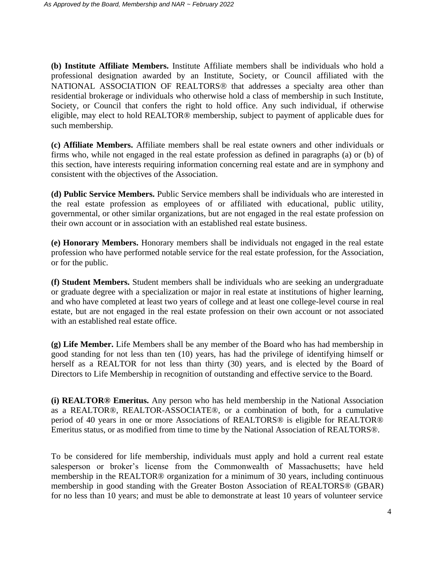**(b) Institute Affiliate Members.** Institute Affiliate members shall be individuals who hold a professional designation awarded by an Institute, Society, or Council affiliated with the NATIONAL ASSOCIATION OF REALTORS<sup>®</sup> that addresses a specialty area other than residential brokerage or individuals who otherwise hold a class of membership in such Institute, Society, or Council that confers the right to hold office. Any such individual, if otherwise eligible, may elect to hold REALTOR® membership, subject to payment of applicable dues for such membership.

**(c) Affiliate Members.** Affiliate members shall be real estate owners and other individuals or firms who, while not engaged in the real estate profession as defined in paragraphs (a) or (b) of this section, have interests requiring information concerning real estate and are in symphony and consistent with the objectives of the Association.

**(d) Public Service Members.** Public Service members shall be individuals who are interested in the real estate profession as employees of or affiliated with educational, public utility, governmental, or other similar organizations, but are not engaged in the real estate profession on their own account or in association with an established real estate business.

**(e) Honorary Members.** Honorary members shall be individuals not engaged in the real estate profession who have performed notable service for the real estate profession, for the Association, or for the public.

**(f) Student Members.** Student members shall be individuals who are seeking an undergraduate or graduate degree with a specialization or major in real estate at institutions of higher learning, and who have completed at least two years of college and at least one college-level course in real estate, but are not engaged in the real estate profession on their own account or not associated with an established real estate office.

**(g) Life Member.** Life Members shall be any member of the Board who has had membership in good standing for not less than ten (10) years, has had the privilege of identifying himself or herself as a REALTOR for not less than thirty (30) years, and is elected by the Board of Directors to Life Membership in recognition of outstanding and effective service to the Board.

**(i) REALTOR® Emeritus.** Any person who has held membership in the National Association as a REALTOR®, REALTOR-ASSOCIATE®, or a combination of both, for a cumulative period of 40 years in one or more Associations of REALTORS® is eligible for REALTOR® Emeritus status, or as modified from time to time by the National Association of REALTORS®.

To be considered for life membership, individuals must apply and hold a current real estate salesperson or broker's license from the Commonwealth of Massachusetts; have held membership in the REALTOR® organization for a minimum of 30 years, including continuous membership in good standing with the Greater Boston Association of REALTORS® (GBAR) for no less than 10 years; and must be able to demonstrate at least 10 years of volunteer service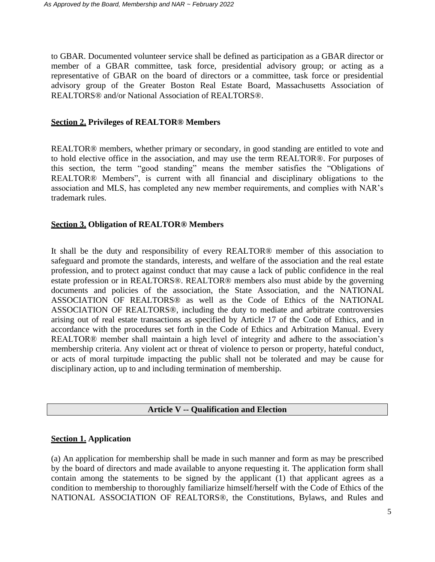to GBAR. Documented volunteer service shall be defined as participation as a GBAR director or member of a GBAR committee, task force, presidential advisory group; or acting as a representative of GBAR on the board of directors or a committee, task force or presidential advisory group of the Greater Boston Real Estate Board, Massachusetts Association of REALTORS® and/or National Association of REALTORS®.

### **Section 2. Privileges of REALTOR® Members**

REALTOR® members, whether primary or secondary, in good standing are entitled to vote and to hold elective office in the association, and may use the term REALTOR®. For purposes of this section, the term "good standing" means the member satisfies the "Obligations of REALTOR® Members", is current with all financial and disciplinary obligations to the association and MLS, has completed any new member requirements, and complies with NAR's trademark rules.

## **Section 3. Obligation of REALTOR® Members**

It shall be the duty and responsibility of every REALTOR® member of this association to safeguard and promote the standards, interests, and welfare of the association and the real estate profession, and to protect against conduct that may cause a lack of public confidence in the real estate profession or in REALTORS®. REALTOR® members also must abide by the governing documents and policies of the association, the State Association, and the NATIONAL ASSOCIATION OF REALTORS® as well as the Code of Ethics of the NATIONAL ASSOCIATION OF REALTORS®, including the duty to mediate and arbitrate controversies arising out of real estate transactions as specified by Article 17 of the Code of Ethics, and in accordance with the procedures set forth in the Code of Ethics and Arbitration Manual. Every REALTOR® member shall maintain a high level of integrity and adhere to the association's membership criteria. Any violent act or threat of violence to person or property, hateful conduct, or acts of moral turpitude impacting the public shall not be tolerated and may be cause for disciplinary action, up to and including termination of membership.

#### **Article V -- Qualification and Election**

## **Section 1. Application**

(a) An application for membership shall be made in such manner and form as may be prescribed by the board of directors and made available to anyone requesting it. The application form shall contain among the statements to be signed by the applicant (1) that applicant agrees as a condition to membership to thoroughly familiarize himself/herself with the Code of Ethics of the NATIONAL ASSOCIATION OF REALTORS®, the Constitutions, Bylaws, and Rules and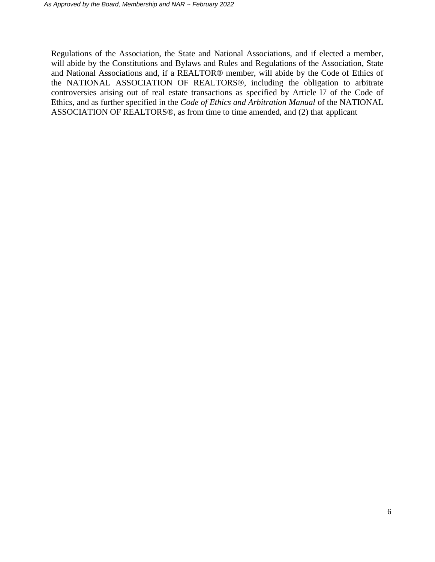Regulations of the Association, the State and National Associations, and if elected a member, will abide by the Constitutions and Bylaws and Rules and Regulations of the Association, State and National Associations and, if a REALTOR® member, will abide by the Code of Ethics of the NATIONAL ASSOCIATION OF REALTORS®, including the obligation to arbitrate controversies arising out of real estate transactions as specified by Article l7 of the Code of Ethics, and as further specified in the *Code of Ethics and Arbitration Manual* of the NATIONAL ASSOCIATION OF REALTORS®, as from time to time amended, and (2) that applicant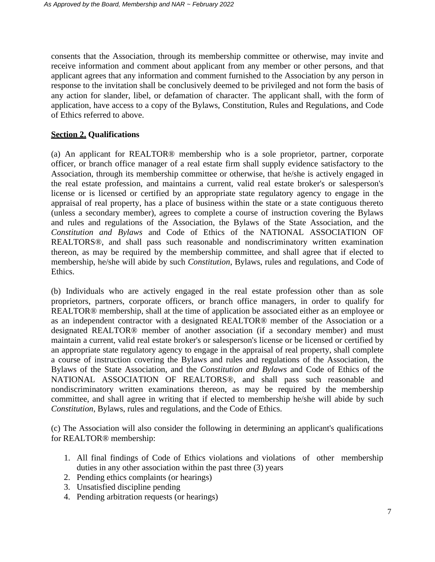consents that the Association, through its membership committee or otherwise, may invite and receive information and comment about applicant from any member or other persons, and that applicant agrees that any information and comment furnished to the Association by any person in response to the invitation shall be conclusively deemed to be privileged and not form the basis of any action for slander, libel, or defamation of character. The applicant shall, with the form of application, have access to a copy of the Bylaws, Constitution, Rules and Regulations, and Code of Ethics referred to above.

## **Section 2. Qualifications**

(a) An applicant for REALTOR® membership who is a sole proprietor, partner, corporate officer, or branch office manager of a real estate firm shall supply evidence satisfactory to the Association, through its membership committee or otherwise, that he/she is actively engaged in the real estate profession, and maintains a current, valid real estate broker's or salesperson's license or is licensed or certified by an appropriate state regulatory agency to engage in the appraisal of real property, has a place of business within the state or a state contiguous thereto (unless a secondary member), agrees to complete a course of instruction covering the Bylaws and rules and regulations of the Association, the Bylaws of the State Association, and the *Constitution and Bylaws* and Code of Ethics of the NATIONAL ASSOCIATION OF REALTORS®, and shall pass such reasonable and nondiscriminatory written examination thereon, as may be required by the membership committee, and shall agree that if elected to membership, he/she will abide by such *Constitution*, Bylaws, rules and regulations, and Code of Ethics.

(b) Individuals who are actively engaged in the real estate profession other than as sole proprietors, partners, corporate officers, or branch office managers, in order to qualify for REALTOR® membership, shall at the time of application be associated either as an employee or as an independent contractor with a designated REALTOR® member of the Association or a designated REALTOR® member of another association (if a secondary member) and must maintain a current, valid real estate broker's or salesperson's license or be licensed or certified by an appropriate state regulatory agency to engage in the appraisal of real property, shall complete a course of instruction covering the Bylaws and rules and regulations of the Association, the Bylaws of the State Association, and the *Constitution and Bylaws* and Code of Ethics of the NATIONAL ASSOCIATION OF REALTORS®, and shall pass such reasonable and nondiscriminatory written examinations thereon, as may be required by the membership committee, and shall agree in writing that if elected to membership he/she will abide by such *Constitution*, Bylaws, rules and regulations, and the Code of Ethics.

(c) The Association will also consider the following in determining an applicant's qualifications for REALTOR® membership:

- 1. All final findings of Code of Ethics violations and violations of other membership duties in any other association within the past three (3) years
- 2. Pending ethics complaints (or hearings)
- 3. Unsatisfied discipline pending
- 4. Pending arbitration requests (or hearings)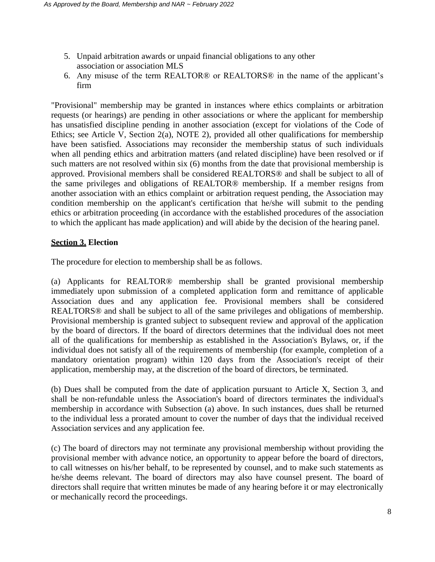- 5. Unpaid arbitration awards or unpaid financial obligations to any other association or association MLS
- 6. Any misuse of the term REALTOR® or REALTORS® in the name of the applicant's firm

"Provisional" membership may be granted in instances where ethics complaints or arbitration requests (or hearings) are pending in other associations or where the applicant for membership has unsatisfied discipline pending in another association (except for violations of the Code of Ethics; see Article V, Section 2(a), NOTE 2), provided all other qualifications for membership have been satisfied. Associations may reconsider the membership status of such individuals when all pending ethics and arbitration matters (and related discipline) have been resolved or if such matters are not resolved within six (6) months from the date that provisional membership is approved. Provisional members shall be considered REALTORS® and shall be subject to all of the same privileges and obligations of REALTOR® membership. If a member resigns from another association with an ethics complaint or arbitration request pending, the Association may condition membership on the applicant's certification that he/she will submit to the pending ethics or arbitration proceeding (in accordance with the established procedures of the association to which the applicant has made application) and will abide by the decision of the hearing panel.

## **Section 3. Election**

The procedure for election to membership shall be as follows.

(a) Applicants for REALTOR® membership shall be granted provisional membership immediately upon submission of a completed application form and remittance of applicable Association dues and any application fee. Provisional members shall be considered REALTORS® and shall be subject to all of the same privileges and obligations of membership. Provisional membership is granted subject to subsequent review and approval of the application by the board of directors. If the board of directors determines that the individual does not meet all of the qualifications for membership as established in the Association's Bylaws, or, if the individual does not satisfy all of the requirements of membership (for example, completion of a mandatory orientation program) within 120 days from the Association's receipt of their application, membership may, at the discretion of the board of directors, be terminated.

(b) Dues shall be computed from the date of application pursuant to Article X, Section 3, and shall be non-refundable unless the Association's board of directors terminates the individual's membership in accordance with Subsection (a) above. In such instances, dues shall be returned to the individual less a prorated amount to cover the number of days that the individual received Association services and any application fee.

(c) The board of directors may not terminate any provisional membership without providing the provisional member with advance notice, an opportunity to appear before the board of directors, to call witnesses on his/her behalf, to be represented by counsel, and to make such statements as he/she deems relevant. The board of directors may also have counsel present. The board of directors shall require that written minutes be made of any hearing before it or may electronically or mechanically record the proceedings.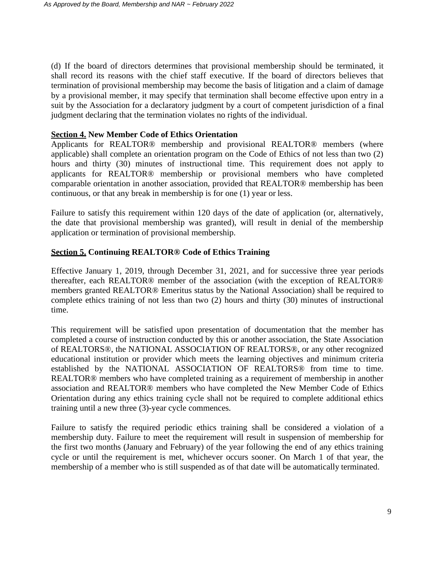(d) If the board of directors determines that provisional membership should be terminated, it shall record its reasons with the chief staff executive. If the board of directors believes that termination of provisional membership may become the basis of litigation and a claim of damage by a provisional member, it may specify that termination shall become effective upon entry in a suit by the Association for a declaratory judgment by a court of competent jurisdiction of a final judgment declaring that the termination violates no rights of the individual.

### **Section 4. New Member Code of Ethics Orientation**

Applicants for REALTOR® membership and provisional REALTOR® members (where applicable) shall complete an orientation program on the Code of Ethics of not less than two (2) hours and thirty (30) minutes of instructional time. This requirement does not apply to applicants for REALTOR® membership or provisional members who have completed comparable orientation in another association, provided that REALTOR® membership has been continuous, or that any break in membership is for one (1) year or less.

Failure to satisfy this requirement within 120 days of the date of application (or, alternatively, the date that provisional membership was granted), will result in denial of the membership application or termination of provisional membership.

## **Section 5. Continuing REALTOR® Code of Ethics Training**

Effective January 1, 2019, through December 31, 2021, and for successive three year periods thereafter, each REALTOR® member of the association (with the exception of REALTOR® members granted REALTOR® Emeritus status by the National Association) shall be required to complete ethics training of not less than two (2) hours and thirty (30) minutes of instructional time.

This requirement will be satisfied upon presentation of documentation that the member has completed a course of instruction conducted by this or another association, the State Association of REALTORS®, the NATIONAL ASSOCIATION OF REALTORS®, or any other recognized educational institution or provider which meets the learning objectives and minimum criteria established by the NATIONAL ASSOCIATION OF REALTORS® from time to time. REALTOR® members who have completed training as a requirement of membership in another association and REALTOR® members who have completed the New Member Code of Ethics Orientation during any ethics training cycle shall not be required to complete additional ethics training until a new three (3)-year cycle commences.

Failure to satisfy the required periodic ethics training shall be considered a violation of a membership duty. Failure to meet the requirement will result in suspension of membership for the first two months (January and February) of the year following the end of any ethics training cycle or until the requirement is met, whichever occurs sooner. On March 1 of that year, the membership of a member who is still suspended as of that date will be automatically terminated.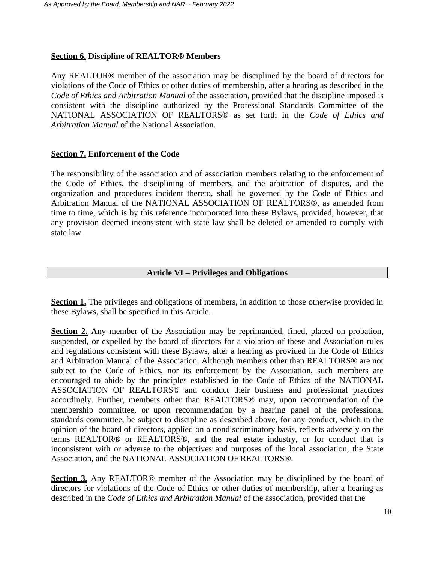#### **Section 6. Discipline of REALTOR® Members**

Any REALTOR® member of the association may be disciplined by the board of directors for violations of the Code of Ethics or other duties of membership, after a hearing as described in the *Code of Ethics and Arbitration Manual* of the association, provided that the discipline imposed is consistent with the discipline authorized by the Professional Standards Committee of the NATIONAL ASSOCIATION OF REALTORS® as set forth in the *Code of Ethics and Arbitration Manual* of the National Association.

#### **Section 7. Enforcement of the Code**

The responsibility of the association and of association members relating to the enforcement of the Code of Ethics, the disciplining of members, and the arbitration of disputes, and the organization and procedures incident thereto, shall be governed by the Code of Ethics and Arbitration Manual of the NATIONAL ASSOCIATION OF REALTORS®, as amended from time to time, which is by this reference incorporated into these Bylaws, provided, however, that any provision deemed inconsistent with state law shall be deleted or amended to comply with state law.

## **Article VI – Privileges and Obligations**

**Section 1.** The privileges and obligations of members, in addition to those otherwise provided in these Bylaws, shall be specified in this Article.

**Section 2.** Any member of the Association may be reprimanded, fined, placed on probation, suspended, or expelled by the board of directors for a violation of these and Association rules and regulations consistent with these Bylaws, after a hearing as provided in the Code of Ethics and Arbitration Manual of the Association. Although members other than REALTORS® are not subject to the Code of Ethics, nor its enforcement by the Association, such members are encouraged to abide by the principles established in the Code of Ethics of the NATIONAL ASSOCIATION OF REALTORS® and conduct their business and professional practices accordingly. Further, members other than REALTORS® may, upon recommendation of the membership committee, or upon recommendation by a hearing panel of the professional standards committee, be subject to discipline as described above, for any conduct, which in the opinion of the board of directors, applied on a nondiscriminatory basis, reflects adversely on the terms REALTOR® or REALTORS®, and the real estate industry, or for conduct that is inconsistent with or adverse to the objectives and purposes of the local association, the State Association, and the NATIONAL ASSOCIATION OF REALTORS®.

**Section 3.** Any REALTOR<sup>®</sup> member of the Association may be disciplined by the board of directors for violations of the Code of Ethics or other duties of membership, after a hearing as described in the *Code of Ethics and Arbitration Manual* of the association, provided that the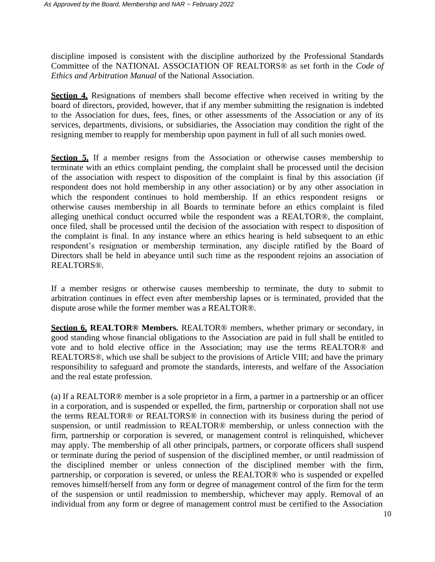discipline imposed is consistent with the discipline authorized by the Professional Standards Committee of the NATIONAL ASSOCIATION OF REALTORS® as set forth in the *Code of Ethics and Arbitration Manual* of the National Association.

**Section 4.** Resignations of members shall become effective when received in writing by the board of directors, provided, however, that if any member submitting the resignation is indebted to the Association for dues, fees, fines, or other assessments of the Association or any of its services, departments, divisions, or subsidiaries, the Association may condition the right of the resigning member to reapply for membership upon payment in full of all such monies owed.

Section 5. If a member resigns from the Association or otherwise causes membership to terminate with an ethics complaint pending, the complaint shall be processed until the decision of the association with respect to disposition of the complaint is final by this association (if respondent does not hold membership in any other association) or by any other association in which the respondent continues to hold membership. If an ethics respondent resigns otherwise causes membership in all Boards to terminate before an ethics complaint is filed alleging unethical conduct occurred while the respondent was a REALTOR®, the complaint, once filed, shall be processed until the decision of the association with respect to disposition of the complaint is final. In any instance where an ethics hearing is held subsequent to an ethic respondent's resignation or membership termination, any disciple ratified by the Board of Directors shall be held in abeyance until such time as the respondent rejoins an association of REALTORS®.

If a member resigns or otherwise causes membership to terminate, the duty to submit to arbitration continues in effect even after membership lapses or is terminated, provided that the dispute arose while the former member was a REALTOR®.

**Section 6. REALTOR® Members.** REALTOR® members, whether primary or secondary, in good standing whose financial obligations to the Association are paid in full shall be entitled to vote and to hold elective office in the Association; may use the terms REALTOR® and REALTORS®, which use shall be subject to the provisions of Article VIII; and have the primary responsibility to safeguard and promote the standards, interests, and welfare of the Association and the real estate profession.

(a) If a REALTOR® member is a sole proprietor in a firm, a partner in a partnership or an officer in a corporation, and is suspended or expelled, the firm, partnership or corporation shall not use the terms REALTOR® or REALTORS® in connection with its business during the period of suspension, or until readmission to REALTOR® membership, or unless connection with the firm, partnership or corporation is severed, or management control is relinquished, whichever may apply. The membership of all other principals, partners, or corporate officers shall suspend or terminate during the period of suspension of the disciplined member, or until readmission of the disciplined member or unless connection of the disciplined member with the firm, partnership, or corporation is severed, or unless the REALTOR® who is suspended or expelled removes himself/herself from any form or degree of management control of the firm for the term of the suspension or until readmission to membership, whichever may apply. Removal of an individual from any form or degree of management control must be certified to the Association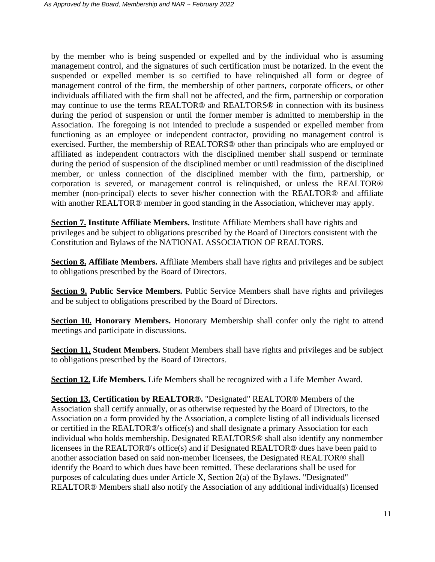by the member who is being suspended or expelled and by the individual who is assuming management control, and the signatures of such certification must be notarized. In the event the suspended or expelled member is so certified to have relinquished all form or degree of management control of the firm, the membership of other partners, corporate officers, or other individuals affiliated with the firm shall not be affected, and the firm, partnership or corporation may continue to use the terms REALTOR® and REALTORS® in connection with its business during the period of suspension or until the former member is admitted to membership in the Association. The foregoing is not intended to preclude a suspended or expelled member from functioning as an employee or independent contractor, providing no management control is exercised. Further, the membership of REALTORS® other than principals who are employed or affiliated as independent contractors with the disciplined member shall suspend or terminate during the period of suspension of the disciplined member or until readmission of the disciplined member, or unless connection of the disciplined member with the firm, partnership, or corporation is severed, or management control is relinquished, or unless the REALTOR® member (non-principal) elects to sever his/her connection with the REALTOR® and affiliate with another REALTOR<sup>®</sup> member in good standing in the Association, whichever may apply.

**Section 7. Institute Affiliate Members.** Institute Affiliate Members shall have rights and privileges and be subject to obligations prescribed by the Board of Directors consistent with the Constitution and Bylaws of the NATIONAL ASSOCIATION OF REALTORS.

**Section 8. Affiliate Members.** Affiliate Members shall have rights and privileges and be subject to obligations prescribed by the Board of Directors.

**Section 9. Public Service Members.** Public Service Members shall have rights and privileges and be subject to obligations prescribed by the Board of Directors.

**Section 10. Honorary Members.** Honorary Membership shall confer only the right to attend meetings and participate in discussions.

**Section 11. Student Members.** Student Members shall have rights and privileges and be subject to obligations prescribed by the Board of Directors.

**Section 12. Life Members.** Life Members shall be recognized with a Life Member Award.

**Section 13. Certification by REALTOR®.** "Designated" REALTOR® Members of the Association shall certify annually, or as otherwise requested by the Board of Directors, to the Association on a form provided by the Association, a complete listing of all individuals licensed or certified in the REALTOR®'s office(s) and shall designate a primary Association for each individual who holds membership. Designated REALTORS® shall also identify any nonmember licensees in the REALTOR®'s office(s) and if Designated REALTOR® dues have been paid to another association based on said non-member licensees, the Designated REALTOR® shall identify the Board to which dues have been remitted. These declarations shall be used for purposes of calculating dues under Article X, Section 2(a) of the Bylaws. "Designated" REALTOR® Members shall also notify the Association of any additional individual(s) licensed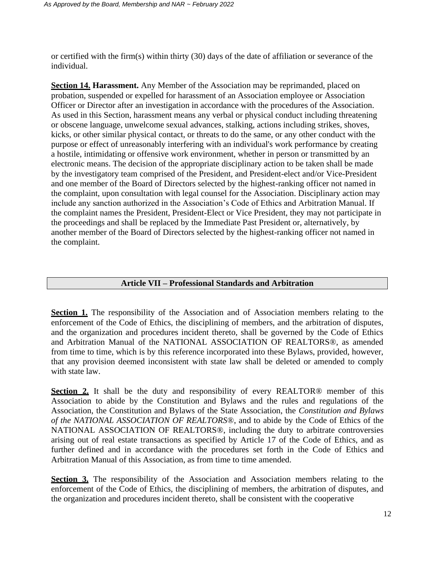or certified with the firm(s) within thirty (30) days of the date of affiliation or severance of the individual.

**Section 14. Harassment.** Any Member of the Association may be reprimanded, placed on probation, suspended or expelled for harassment of an Association employee or Association Officer or Director after an investigation in accordance with the procedures of the Association. As used in this Section, harassment means any verbal or physical conduct including threatening or obscene language, unwelcome sexual advances, stalking, actions including strikes, shoves, kicks, or other similar physical contact, or threats to do the same, or any other conduct with the purpose or effect of unreasonably interfering with an individual's work performance by creating a hostile, intimidating or offensive work environment, whether in person or transmitted by an electronic means. The decision of the appropriate disciplinary action to be taken shall be made by the investigatory team comprised of the President, and President-elect and/or Vice-President and one member of the Board of Directors selected by the highest-ranking officer not named in the complaint, upon consultation with legal counsel for the Association. Disciplinary action may include any sanction authorized in the Association's Code of Ethics and Arbitration Manual. If the complaint names the President, President-Elect or Vice President, they may not participate in the proceedings and shall be replaced by the Immediate Past President or, alternatively, by another member of the Board of Directors selected by the highest-ranking officer not named in the complaint.

#### **Article VII – Professional Standards and Arbitration**

**Section 1.** The responsibility of the Association and of Association members relating to the enforcement of the Code of Ethics, the disciplining of members, and the arbitration of disputes, and the organization and procedures incident thereto, shall be governed by the Code of Ethics and Arbitration Manual of the NATIONAL ASSOCIATION OF REALTORS®, as amended from time to time, which is by this reference incorporated into these Bylaws, provided, however, that any provision deemed inconsistent with state law shall be deleted or amended to comply with state law.

**Section 2.** It shall be the duty and responsibility of every REALTOR® member of this Association to abide by the Constitution and Bylaws and the rules and regulations of the Association, the Constitution and Bylaws of the State Association, the *Constitution and Bylaws of the NATIONAL ASSOCIATION OF REALTORS®*, and to abide by the Code of Ethics of the NATIONAL ASSOCIATION OF REALTORS®, including the duty to arbitrate controversies arising out of real estate transactions as specified by Article 17 of the Code of Ethics, and as further defined and in accordance with the procedures set forth in the Code of Ethics and Arbitration Manual of this Association, as from time to time amended.

**Section 3.** The responsibility of the Association and Association members relating to the enforcement of the Code of Ethics, the disciplining of members, the arbitration of disputes, and the organization and procedures incident thereto, shall be consistent with the cooperative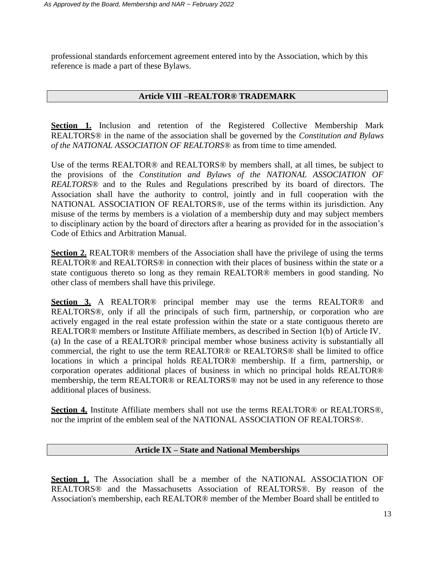professional standards enforcement agreement entered into by the Association, which by this reference is made a part of these Bylaws.

#### **Article VIII –REALTOR® TRADEMARK**

**Section 1.** Inclusion and retention of the Registered Collective Membership Mark REALTORS® in the name of the association shall be governed by the *Constitution and Bylaws of the NATIONAL ASSOCIATION OF REALTORS®* as from time to time amended.

Use of the terms REALTOR® and REALTORS® by members shall, at all times, be subject to the provisions of the *Constitution and Bylaws of the NATIONAL ASSOCIATION OF REALTORS®* and to the Rules and Regulations prescribed by its board of directors. The Association shall have the authority to control, jointly and in full cooperation with the NATIONAL ASSOCIATION OF REALTORS®, use of the terms within its jurisdiction. Any misuse of the terms by members is a violation of a membership duty and may subject members to disciplinary action by the board of directors after a hearing as provided for in the association's Code of Ethics and Arbitration Manual.

**Section 2.** REALTOR® members of the Association shall have the privilege of using the terms REALTOR® and REALTORS® in connection with their places of business within the state or a state contiguous thereto so long as they remain REALTOR® members in good standing. No other class of members shall have this privilege.

**Section 3.** A REALTOR® principal member may use the terms REALTOR® and REALTORS®, only if all the principals of such firm, partnership, or corporation who are actively engaged in the real estate profession within the state or a state contiguous thereto are REALTOR® members or Institute Affiliate members, as described in Section 1(b) of Article IV. (a) In the case of a REALTOR® principal member whose business activity is substantially all commercial, the right to use the term REALTOR® or REALTORS® shall be limited to office locations in which a principal holds REALTOR® membership. If a firm, partnership, or corporation operates additional places of business in which no principal holds REALTOR® membership, the term REALTOR® or REALTORS® may not be used in any reference to those additional places of business.

**Section 4.** Institute Affiliate members shall not use the terms REALTOR® or REALTORS®, nor the imprint of the emblem seal of the NATIONAL ASSOCIATION OF REALTORS®.

#### **Article IX – State and National Memberships**

Section 1. The Association shall be a member of the NATIONAL ASSOCIATION OF REALTORS® and the Massachusetts Association of REALTORS®. By reason of the Association's membership, each REALTOR® member of the Member Board shall be entitled to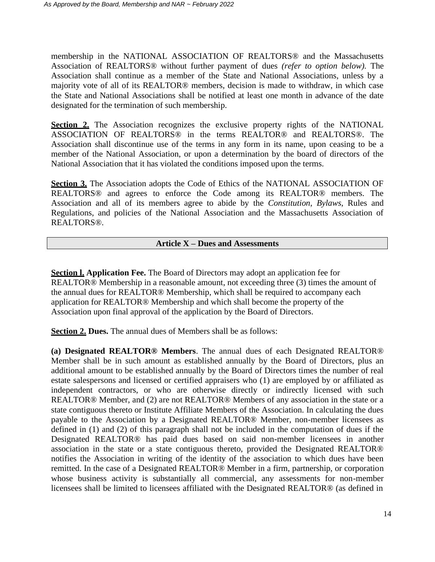membership in the NATIONAL ASSOCIATION OF REALTORS® and the Massachusetts Association of REALTORS® without further payment of dues *(refer to option below).* The Association shall continue as a member of the State and National Associations, unless by a majority vote of all of its REALTOR® members, decision is made to withdraw, in which case the State and National Associations shall be notified at least one month in advance of the date designated for the termination of such membership.

**Section 2.** The Association recognizes the exclusive property rights of the NATIONAL ASSOCIATION OF REALTORS® in the terms REALTOR® and REALTORS®. The Association shall discontinue use of the terms in any form in its name, upon ceasing to be a member of the National Association, or upon a determination by the board of directors of the National Association that it has violated the conditions imposed upon the terms.

**Section 3.** The Association adopts the Code of Ethics of the NATIONAL ASSOCIATION OF REALTORS® and agrees to enforce the Code among its REALTOR® members. The Association and all of its members agree to abide by the *Constitution*, *Bylaws*, Rules and Regulations, and policies of the National Association and the Massachusetts Association of REALTORS®.

#### **Article X – Dues and Assessments**

**Section l. Application Fee.** The Board of Directors may adopt an application fee for REALTOR® Membership in a reasonable amount, not exceeding three (3) times the amount of the annual dues for REALTOR® Membership, which shall be required to accompany each application for REALTOR® Membership and which shall become the property of the Association upon final approval of the application by the Board of Directors.

**Section 2. Dues.** The annual dues of Members shall be as follows:

**(a) Designated REALTOR® Members**. The annual dues of each Designated REALTOR® Member shall be in such amount as established annually by the Board of Directors, plus an additional amount to be established annually by the Board of Directors times the number of real estate salespersons and licensed or certified appraisers who (1) are employed by or affiliated as independent contractors, or who are otherwise directly or indirectly licensed with such REALTOR® Member, and (2) are not REALTOR® Members of any association in the state or a state contiguous thereto or Institute Affiliate Members of the Association. In calculating the dues payable to the Association by a Designated REALTOR® Member, non-member licensees as defined in (1) and (2) of this paragraph shall not be included in the computation of dues if the Designated REALTOR® has paid dues based on said non-member licensees in another association in the state or a state contiguous thereto, provided the Designated REALTOR® notifies the Association in writing of the identity of the association to which dues have been remitted. In the case of a Designated REALTOR® Member in a firm, partnership, or corporation whose business activity is substantially all commercial, any assessments for non-member licensees shall be limited to licensees affiliated with the Designated REALTOR® (as defined in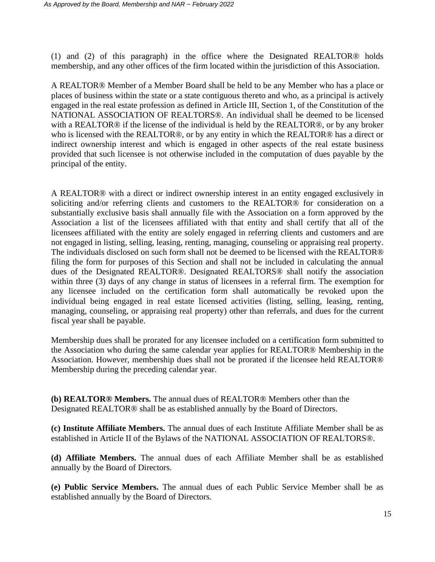(1) and (2) of this paragraph) in the office where the Designated REALTOR® holds membership, and any other offices of the firm located within the jurisdiction of this Association.

A REALTOR® Member of a Member Board shall be held to be any Member who has a place or places of business within the state or a state contiguous thereto and who, as a principal is actively engaged in the real estate profession as defined in Article III, Section 1, of the Constitution of the NATIONAL ASSOCIATION OF REALTORS®. An individual shall be deemed to be licensed with a REALTOR® if the license of the individual is held by the REALTOR®, or by any broker who is licensed with the REALTOR®, or by any entity in which the REALTOR® has a direct or indirect ownership interest and which is engaged in other aspects of the real estate business provided that such licensee is not otherwise included in the computation of dues payable by the principal of the entity.

A REALTOR® with a direct or indirect ownership interest in an entity engaged exclusively in soliciting and/or referring clients and customers to the REALTOR® for consideration on a substantially exclusive basis shall annually file with the Association on a form approved by the Association a list of the licensees affiliated with that entity and shall certify that all of the licensees affiliated with the entity are solely engaged in referring clients and customers and are not engaged in listing, selling, leasing, renting, managing, counseling or appraising real property. The individuals disclosed on such form shall not be deemed to be licensed with the REALTOR® filing the form for purposes of this Section and shall not be included in calculating the annual dues of the Designated REALTOR®. Designated REALTORS® shall notify the association within three (3) days of any change in status of licensees in a referral firm. The exemption for any licensee included on the certification form shall automatically be revoked upon the individual being engaged in real estate licensed activities (listing, selling, leasing, renting, managing, counseling, or appraising real property) other than referrals, and dues for the current fiscal year shall be payable.

Membership dues shall be prorated for any licensee included on a certification form submitted to the Association who during the same calendar year applies for REALTOR® Membership in the Association. However, membership dues shall not be prorated if the licensee held REALTOR® Membership during the preceding calendar year.

**(b) REALTOR® Members.** The annual dues of REALTOR® Members other than the Designated REALTOR® shall be as established annually by the Board of Directors.

**(c) Institute Affiliate Members.** The annual dues of each Institute Affiliate Member shall be as established in Article II of the Bylaws of the NATIONAL ASSOCIATION OF REALTORS®.

**(d) Affiliate Members.** The annual dues of each Affiliate Member shall be as established annually by the Board of Directors.

**(e) Public Service Members.** The annual dues of each Public Service Member shall be as established annually by the Board of Directors.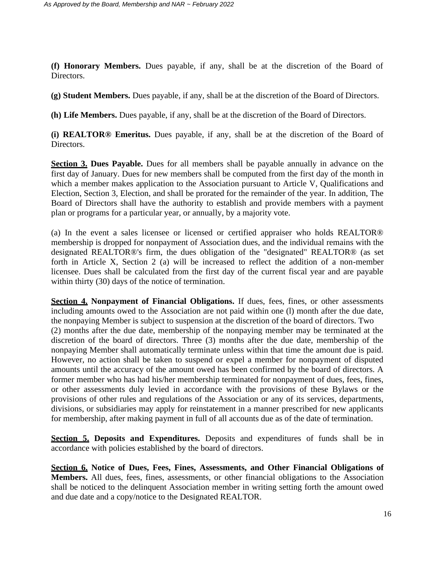**(f) Honorary Members.** Dues payable, if any, shall be at the discretion of the Board of Directors.

**(g) Student Members.** Dues payable, if any, shall be at the discretion of the Board of Directors.

**(h) Life Members.** Dues payable, if any, shall be at the discretion of the Board of Directors.

**(i) REALTOR® Emeritus.** Dues payable, if any, shall be at the discretion of the Board of Directors.

**Section 3. Dues Payable.** Dues for all members shall be payable annually in advance on the first day of January. Dues for new members shall be computed from the first day of the month in which a member makes application to the Association pursuant to Article V, Qualifications and Election, Section 3, Election, and shall be prorated for the remainder of the year. In addition, The Board of Directors shall have the authority to establish and provide members with a payment plan or programs for a particular year, or annually, by a majority vote.

(a) In the event a sales licensee or licensed or certified appraiser who holds REALTOR® membership is dropped for nonpayment of Association dues, and the individual remains with the designated REALTOR®'s firm, the dues obligation of the "designated" REALTOR® (as set forth in Article X, Section 2 (a) will be increased to reflect the addition of a non-member licensee. Dues shall be calculated from the first day of the current fiscal year and are payable within thirty (30) days of the notice of termination.

Section 4. **Nonpayment of Financial Obligations.** If dues, fees, fines, or other assessments including amounts owed to the Association are not paid within one (l) month after the due date, the nonpaying Member is subject to suspension at the discretion of the board of directors. Two (2) months after the due date, membership of the nonpaying member may be terminated at the discretion of the board of directors. Three (3) months after the due date, membership of the nonpaying Member shall automatically terminate unless within that time the amount due is paid. However, no action shall be taken to suspend or expel a member for nonpayment of disputed amounts until the accuracy of the amount owed has been confirmed by the board of directors. A former member who has had his/her membership terminated for nonpayment of dues, fees, fines, or other assessments duly levied in accordance with the provisions of these Bylaws or the provisions of other rules and regulations of the Association or any of its services, departments, divisions, or subsidiaries may apply for reinstatement in a manner prescribed for new applicants for membership, after making payment in full of all accounts due as of the date of termination.

**Section 5. Deposits and Expenditures.** Deposits and expenditures of funds shall be in accordance with policies established by the board of directors.

**Section 6. Notice of Dues, Fees, Fines, Assessments, and Other Financial Obligations of Members.** All dues, fees, fines, assessments, or other financial obligations to the Association shall be noticed to the delinquent Association member in writing setting forth the amount owed and due date and a copy/notice to the Designated REALTOR.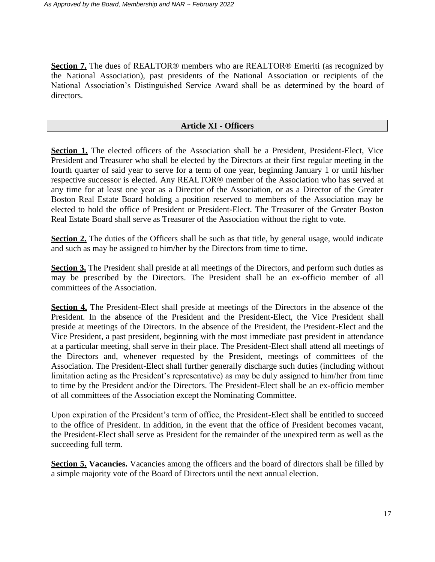**Section 7.** The dues of REALTOR<sup>®</sup> members who are REALTOR<sup>®</sup> Emeriti (as recognized by the National Association), past presidents of the National Association or recipients of the National Association's Distinguished Service Award shall be as determined by the board of directors.

#### **Article XI - Officers**

**Section 1.** The elected officers of the Association shall be a President, President-Elect, Vice President and Treasurer who shall be elected by the Directors at their first regular meeting in the fourth quarter of said year to serve for a term of one year, beginning January 1 or until his/her respective successor is elected. Any REALTOR® member of the Association who has served at any time for at least one year as a Director of the Association, or as a Director of the Greater Boston Real Estate Board holding a position reserved to members of the Association may be elected to hold the office of President or President-Elect. The Treasurer of the Greater Boston Real Estate Board shall serve as Treasurer of the Association without the right to vote.

**Section 2.** The duties of the Officers shall be such as that title, by general usage, would indicate and such as may be assigned to him/her by the Directors from time to time.

**Section 3.** The President shall preside at all meetings of the Directors, and perform such duties as may be prescribed by the Directors. The President shall be an ex-officio member of all committees of the Association.

**Section 4.** The President-Elect shall preside at meetings of the Directors in the absence of the President. In the absence of the President and the President-Elect, the Vice President shall preside at meetings of the Directors. In the absence of the President, the President-Elect and the Vice President, a past president, beginning with the most immediate past president in attendance at a particular meeting, shall serve in their place. The President-Elect shall attend all meetings of the Directors and, whenever requested by the President, meetings of committees of the Association. The President-Elect shall further generally discharge such duties (including without limitation acting as the President's representative) as may be duly assigned to him/her from time to time by the President and/or the Directors. The President-Elect shall be an ex-officio member of all committees of the Association except the Nominating Committee.

Upon expiration of the President's term of office, the President-Elect shall be entitled to succeed to the office of President. In addition, in the event that the office of President becomes vacant, the President-Elect shall serve as President for the remainder of the unexpired term as well as the succeeding full term.

**Section 5. Vacancies.** Vacancies among the officers and the board of directors shall be filled by a simple majority vote of the Board of Directors until the next annual election.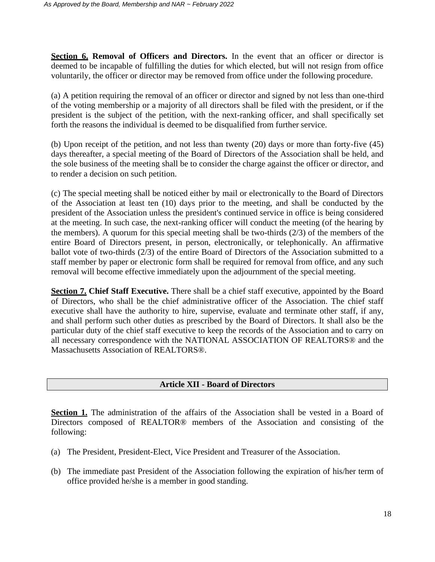**Section 6. Removal of Officers and Directors.** In the event that an officer or director is deemed to be incapable of fulfilling the duties for which elected, but will not resign from office voluntarily, the officer or director may be removed from office under the following procedure.

(a) A petition requiring the removal of an officer or director and signed by not less than one-third of the voting membership or a majority of all directors shall be filed with the president, or if the president is the subject of the petition, with the next-ranking officer, and shall specifically set forth the reasons the individual is deemed to be disqualified from further service.

(b) Upon receipt of the petition, and not less than twenty (20) days or more than forty-five (45) days thereafter, a special meeting of the Board of Directors of the Association shall be held, and the sole business of the meeting shall be to consider the charge against the officer or director, and to render a decision on such petition.

(c) The special meeting shall be noticed either by mail or electronically to the Board of Directors of the Association at least ten (10) days prior to the meeting, and shall be conducted by the president of the Association unless the president's continued service in office is being considered at the meeting. In such case, the next-ranking officer will conduct the meeting (of the hearing by the members). A quorum for this special meeting shall be two-thirds (2/3) of the members of the entire Board of Directors present, in person, electronically, or telephonically. An affirmative ballot vote of two-thirds (2/3) of the entire Board of Directors of the Association submitted to a staff member by paper or electronic form shall be required for removal from office, and any such removal will become effective immediately upon the adjournment of the special meeting.

**Section 7. Chief Staff Executive.** There shall be a chief staff executive, appointed by the Board of Directors, who shall be the chief administrative officer of the Association. The chief staff executive shall have the authority to hire, supervise, evaluate and terminate other staff, if any, and shall perform such other duties as prescribed by the Board of Directors. It shall also be the particular duty of the chief staff executive to keep the records of the Association and to carry on all necessary correspondence with the NATIONAL ASSOCIATION OF REALTORS® and the Massachusetts Association of REALTORS®.

## **Article XII - Board of Directors**

**Section 1.** The administration of the affairs of the Association shall be vested in a Board of Directors composed of REALTOR® members of the Association and consisting of the following:

- (a) The President, President-Elect, Vice President and Treasurer of the Association.
- (b) The immediate past President of the Association following the expiration of his/her term of office provided he/she is a member in good standing.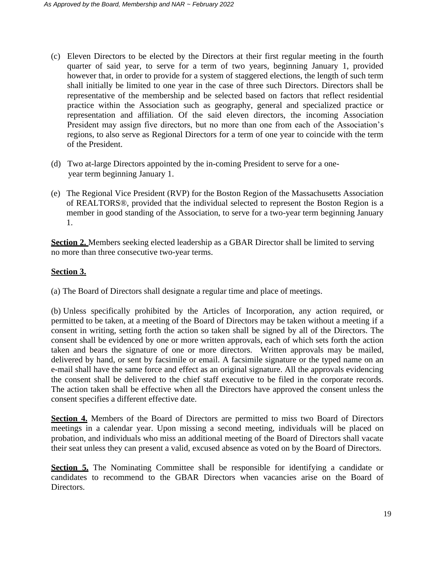- (c) Eleven Directors to be elected by the Directors at their first regular meeting in the fourth quarter of said year, to serve for a term of two years, beginning January 1, provided however that, in order to provide for a system of staggered elections, the length of such term shall initially be limited to one year in the case of three such Directors. Directors shall be representative of the membership and be selected based on factors that reflect residential practice within the Association such as geography, general and specialized practice or representation and affiliation. Of the said eleven directors, the incoming Association President may assign five directors, but no more than one from each of the Association's regions, to also serve as Regional Directors for a term of one year to coincide with the term of the President.
- (d) Two at-large Directors appointed by the in-coming President to serve for a oneyear term beginning January 1.
- (e) The Regional Vice President (RVP) for the Boston Region of the Massachusetts Association of REALTORS®, provided that the individual selected to represent the Boston Region is a member in good standing of the Association, to serve for a two-year term beginning January 1.

**Section 2.** Members seeking elected leadership as a GBAR Director shall be limited to serving no more than three consecutive two-year terms.

## **Section 3.**

(a) The Board of Directors shall designate a regular time and place of meetings.

(b) Unless specifically prohibited by the Articles of Incorporation, any action required, or permitted to be taken, at a meeting of the Board of Directors may be taken without a meeting if a consent in writing, setting forth the action so taken shall be signed by all of the Directors. The consent shall be evidenced by one or more written approvals, each of which sets forth the action taken and bears the signature of one or more directors. Written approvals may be mailed, delivered by hand, or sent by facsimile or email. A facsimile signature or the typed name on an e-mail shall have the same force and effect as an original signature. All the approvals evidencing the consent shall be delivered to the chief staff executive to be filed in the corporate records. The action taken shall be effective when all the Directors have approved the consent unless the consent specifies a different effective date.

**Section 4.** Members of the Board of Directors are permitted to miss two Board of Directors meetings in a calendar year. Upon missing a second meeting, individuals will be placed on probation, and individuals who miss an additional meeting of the Board of Directors shall vacate their seat unless they can present a valid, excused absence as voted on by the Board of Directors.

Section 5. The Nominating Committee shall be responsible for identifying a candidate or candidates to recommend to the GBAR Directors when vacancies arise on the Board of Directors.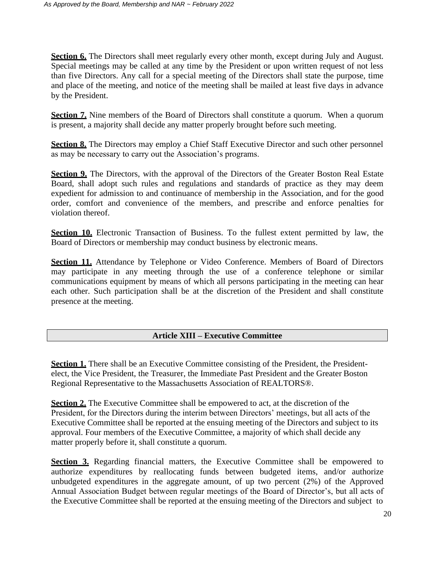Section 6. The Directors shall meet regularly every other month, except during July and August. Special meetings may be called at any time by the President or upon written request of not less than five Directors. Any call for a special meeting of the Directors shall state the purpose, time and place of the meeting, and notice of the meeting shall be mailed at least five days in advance by the President.

**Section 7.** Nine members of the Board of Directors shall constitute a quorum. When a quorum is present, a majority shall decide any matter properly brought before such meeting.

**Section 8.** The Directors may employ a Chief Staff Executive Director and such other personnel as may be necessary to carry out the Association's programs.

**Section 9.** The Directors, with the approval of the Directors of the Greater Boston Real Estate Board, shall adopt such rules and regulations and standards of practice as they may deem expedient for admission to and continuance of membership in the Association, and for the good order, comfort and convenience of the members, and prescribe and enforce penalties for violation thereof.

**Section 10.** Electronic Transaction of Business. To the fullest extent permitted by law, the Board of Directors or membership may conduct business by electronic means.

Section 11. Attendance by Telephone or Video Conference. Members of Board of Directors may participate in any meeting through the use of a conference telephone or similar communications equipment by means of which all persons participating in the meeting can hear each other. Such participation shall be at the discretion of the President and shall constitute presence at the meeting.

## **Article XIII – Executive Committee**

**Section 1.** There shall be an Executive Committee consisting of the President, the Presidentelect, the Vice President, the Treasurer, the Immediate Past President and the Greater Boston Regional Representative to the Massachusetts Association of REALTORS®.

**Section 2.** The Executive Committee shall be empowered to act, at the discretion of the President, for the Directors during the interim between Directors' meetings, but all acts of the Executive Committee shall be reported at the ensuing meeting of the Directors and subject to its approval. Four members of the Executive Committee, a majority of which shall decide any matter properly before it, shall constitute a quorum.

**Section 3.** Regarding financial matters, the Executive Committee shall be empowered to authorize expenditures by reallocating funds between budgeted items, and/or authorize unbudgeted expenditures in the aggregate amount, of up two percent (2%) of the Approved Annual Association Budget between regular meetings of the Board of Director's, but all acts of the Executive Committee shall be reported at the ensuing meeting of the Directors and subject to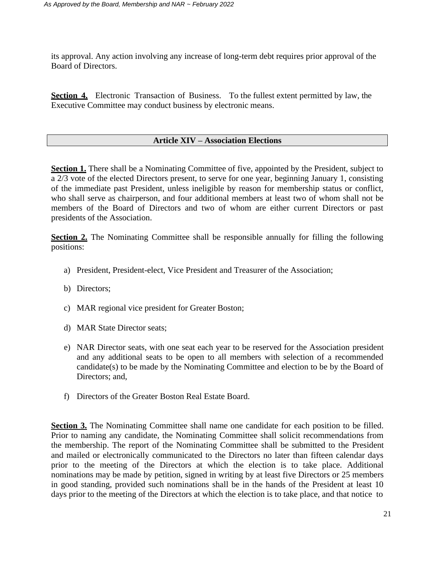its approval. Any action involving any increase of long-term debt requires prior approval of the Board of Directors.

**Section 4.** Electronic Transaction of Business. To the fullest extent permitted by law, the Executive Committee may conduct business by electronic means.

## **Article XIV – Association Elections**

**Section 1.** There shall be a Nominating Committee of five, appointed by the President, subject to a 2/3 vote of the elected Directors present, to serve for one year, beginning January 1, consisting of the immediate past President, unless ineligible by reason for membership status or conflict, who shall serve as chairperson, and four additional members at least two of whom shall not be members of the Board of Directors and two of whom are either current Directors or past presidents of the Association.

**Section 2.** The Nominating Committee shall be responsible annually for filling the following positions:

- a) President, President-elect, Vice President and Treasurer of the Association;
- b) Directors;
- c) MAR regional vice president for Greater Boston;
- d) MAR State Director seats;
- e) NAR Director seats, with one seat each year to be reserved for the Association president and any additional seats to be open to all members with selection of a recommended candidate(s) to be made by the Nominating Committee and election to be by the Board of Directors; and,
- f) Directors of the Greater Boston Real Estate Board.

**Section 3.** The Nominating Committee shall name one candidate for each position to be filled. Prior to naming any candidate, the Nominating Committee shall solicit recommendations from the membership. The report of the Nominating Committee shall be submitted to the President and mailed or electronically communicated to the Directors no later than fifteen calendar days prior to the meeting of the Directors at which the election is to take place. Additional nominations may be made by petition, signed in writing by at least five Directors or 25 members in good standing, provided such nominations shall be in the hands of the President at least 10 days prior to the meeting of the Directors at which the election is to take place, and that notice to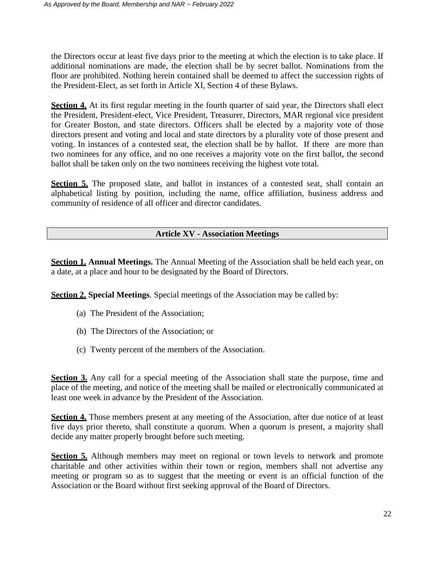the Directors occur at least five days prior to the meeting at which the election is to take place. If additional nominations are made, the election shall be by secret ballot. Nominations from the floor are prohibited. Nothing herein contained shall be deemed to affect the succession rights of the President-Elect, as set forth in Article XI, Section 4 of these Bylaws.

**Section 4.** At its first regular meeting in the fourth quarter of said year, the Directors shall elect the President, President-elect, Vice President, Treasurer, Directors, MAR regional vice president for Greater Boston, and state directors. Officers shall be elected by a majority vote of those directors present and voting and local and state directors by a plurality vote of those present and voting. In instances of a contested seat, the election shall be by ballot. If there are more than two nominees for any office, and no one receives a majority vote on the first ballot, the second ballot shall be taken only on the two nominees receiving the highest vote total.

**Section 5.** The proposed slate, and ballot in instances of a contested seat, shall contain an alphabetical listing by position, including the name, office affiliation, business address and community of residence of all officer and director candidates.

## **Article XV - Association Meetings**

**Section 1. Annual Meetings.** The Annual Meeting of the Association shall be held each year, on a date, at a place and hour to be designated by the Board of Directors.

**Section 2. Special Meetings**. Special meetings of the Association may be called by:

- (a) The President of the Association;
- (b) The Directors of the Association; or
- (c) Twenty percent of the members of the Association.

**Section 3.** Any call for a special meeting of the Association shall state the purpose, time and place of the meeting, and notice of the meeting shall be mailed or electronically communicated at least one week in advance by the President of the Association.

Section 4. Those members present at any meeting of the Association, after due notice of at least five days prior thereto, shall constitute a quorum. When a quorum is present, a majority shall decide any matter properly brought before such meeting.

**Section 5.** Although members may meet on regional or town levels to network and promote charitable and other activities within their town or region, members shall not advertise any meeting or program so as to suggest that the meeting or event is an official function of the Association or the Board without first seeking approval of the Board of Directors.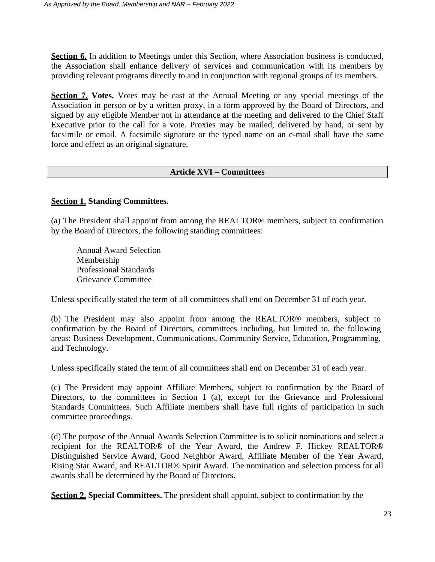Section 6. In addition to Meetings under this Section, where Association business is conducted, the Association shall enhance delivery of services and communication with its members by providing relevant programs directly to and in conjunction with regional groups of its members.

**Section 7. Votes.** Votes may be cast at the Annual Meeting or any special meetings of the Association in person or by a written proxy, in a form approved by the Board of Directors, and signed by any eligible Member not in attendance at the meeting and delivered to the Chief Staff Executive prior to the call for a vote. Proxies may be mailed, delivered by hand, or sent by facsimile or email. A facsimile signature or the typed name on an e-mail shall have the same force and effect as an original signature.

## **Article XVI – Committees**

## **Section 1. Standing Committees.**

(a) The President shall appoint from among the REALTOR® members, subject to confirmation by the Board of Directors, the following standing committees:

Annual Award Selection Membership Professional Standards Grievance Committee

Unless specifically stated the term of all committees shall end on December 31 of each year.

(b) The President may also appoint from among the REALTOR® members, subject to confirmation by the Board of Directors, committees including, but limited to, the following areas: Business Development, Communications, Community Service, Education, Programming, and Technology.

Unless specifically stated the term of all committees shall end on December 31 of each year.

(c) The President may appoint Affiliate Members, subject to confirmation by the Board of Directors, to the committees in Section 1 (a), except for the Grievance and Professional Standards Committees. Such Affiliate members shall have full rights of participation in such committee proceedings.

(d) The purpose of the Annual Awards Selection Committee is to solicit nominations and select a recipient for the REALTOR® of the Year Award, the Andrew F. Hickey REALTOR® Distinguished Service Award, Good Neighbor Award, Affiliate Member of the Year Award, Rising Star Award, and REALTOR® Spirit Award. The nomination and selection process for all awards shall be determined by the Board of Directors.

**Section 2. Special Committees.** The president shall appoint, subject to confirmation by the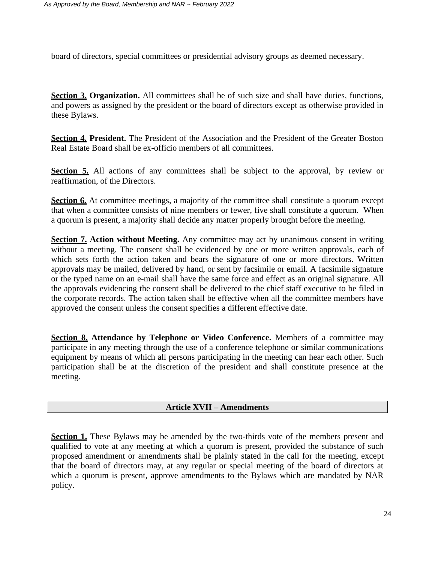board of directors, special committees or presidential advisory groups as deemed necessary.

**Section 3. Organization.** All committees shall be of such size and shall have duties, functions, and powers as assigned by the president or the board of directors except as otherwise provided in these Bylaws.

**Section 4. President.** The President of the Association and the President of the Greater Boston Real Estate Board shall be ex-officio members of all committees.

**Section 5.** All actions of any committees shall be subject to the approval, by review or reaffirmation, of the Directors.

**Section 6.** At committee meetings, a majority of the committee shall constitute a quorum except that when a committee consists of nine members or fewer, five shall constitute a quorum. When a quorum is present, a majority shall decide any matter properly brought before the meeting.

**Section 7. Action without Meeting.** Any committee may act by unanimous consent in writing without a meeting. The consent shall be evidenced by one or more written approvals, each of which sets forth the action taken and bears the signature of one or more directors. Written approvals may be mailed, delivered by hand, or sent by facsimile or email. A facsimile signature or the typed name on an e-mail shall have the same force and effect as an original signature. All the approvals evidencing the consent shall be delivered to the chief staff executive to be filed in the corporate records. The action taken shall be effective when all the committee members have approved the consent unless the consent specifies a different effective date.

**Section 8. Attendance by Telephone or Video Conference.** Members of a committee may participate in any meeting through the use of a conference telephone or similar communications equipment by means of which all persons participating in the meeting can hear each other. Such participation shall be at the discretion of the president and shall constitute presence at the meeting.

#### **Article XVII – Amendments**

**Section 1.** These Bylaws may be amended by the two-thirds vote of the members present and qualified to vote at any meeting at which a quorum is present, provided the substance of such proposed amendment or amendments shall be plainly stated in the call for the meeting, except that the board of directors may, at any regular or special meeting of the board of directors at which a quorum is present, approve amendments to the Bylaws which are mandated by NAR policy.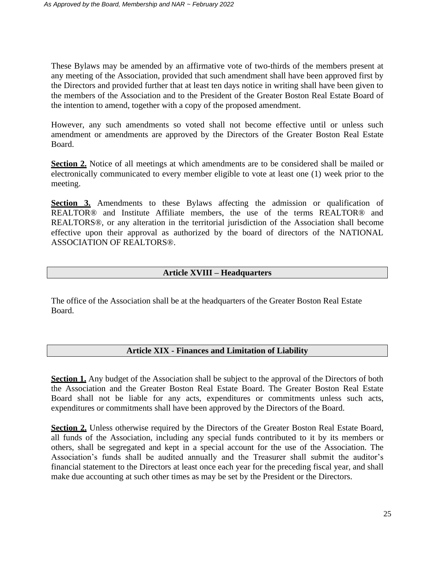These Bylaws may be amended by an affirmative vote of two-thirds of the members present at any meeting of the Association, provided that such amendment shall have been approved first by the Directors and provided further that at least ten days notice in writing shall have been given to the members of the Association and to the President of the Greater Boston Real Estate Board of the intention to amend, together with a copy of the proposed amendment.

However, any such amendments so voted shall not become effective until or unless such amendment or amendments are approved by the Directors of the Greater Boston Real Estate Board.

**Section 2.** Notice of all meetings at which amendments are to be considered shall be mailed or electronically communicated to every member eligible to vote at least one (1) week prior to the meeting.

**Section 3.** Amendments to these Bylaws affecting the admission or qualification of REALTOR® and Institute Affiliate members, the use of the terms REALTOR® and REALTORS®, or any alteration in the territorial jurisdiction of the Association shall become effective upon their approval as authorized by the board of directors of the NATIONAL ASSOCIATION OF REALTORS®.

## **Article XVIII – Headquarters**

The office of the Association shall be at the headquarters of the Greater Boston Real Estate Board.

## **Article XIX - Finances and Limitation of Liability**

**Section 1.** Any budget of the Association shall be subject to the approval of the Directors of both the Association and the Greater Boston Real Estate Board. The Greater Boston Real Estate Board shall not be liable for any acts, expenditures or commitments unless such acts, expenditures or commitments shall have been approved by the Directors of the Board.

**Section 2.** Unless otherwise required by the Directors of the Greater Boston Real Estate Board, all funds of the Association, including any special funds contributed to it by its members or others, shall be segregated and kept in a special account for the use of the Association. The Association's funds shall be audited annually and the Treasurer shall submit the auditor's financial statement to the Directors at least once each year for the preceding fiscal year, and shall make due accounting at such other times as may be set by the President or the Directors.